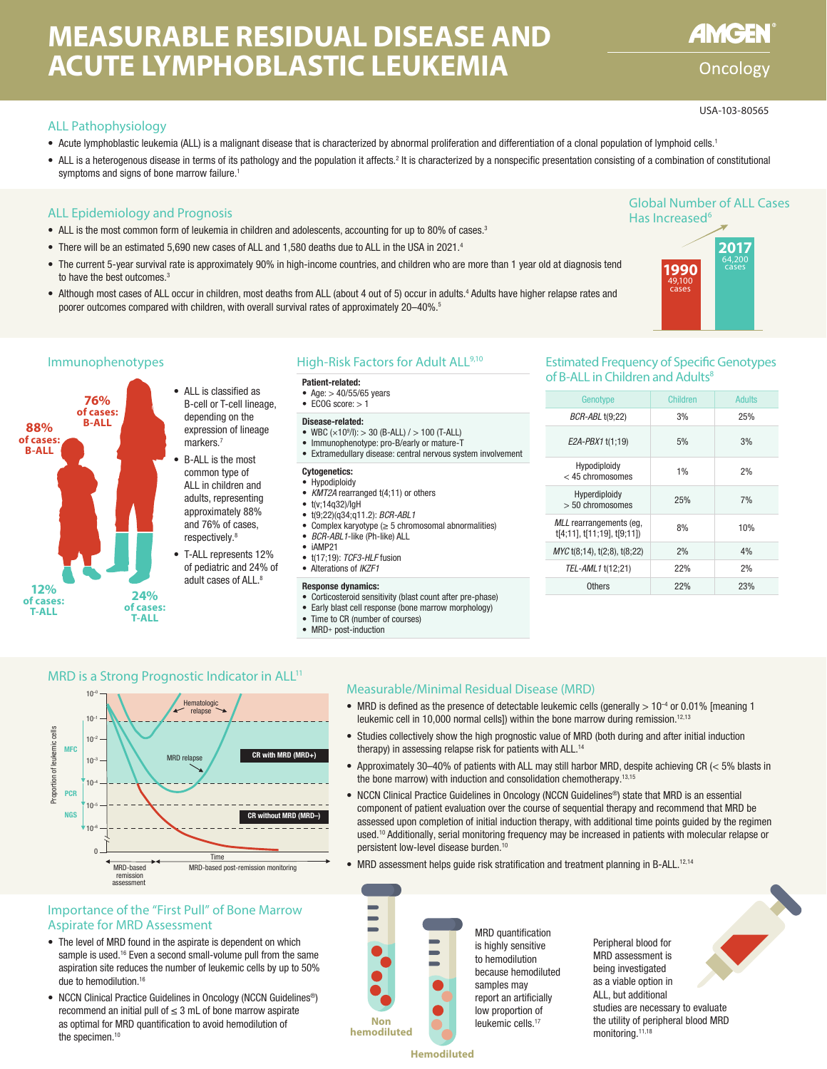# **MEASURABLE RESIDUAL DISEASE AND ACUTE LYMPHOBLASTIC LEUKEMIA**

## ALL Pathophysiology

- Acute lymphoblastic leukemia (ALL) is a malignant disease that is characterized by abnormal proliferation and differentiation of a clonal population of lymphoid cells.1
- ALL is a heterogenous disease in terms of its pathology and the population it affects.<sup>2</sup> It is characterized by a nonspecific presentation consisting of a combination of constitutional symptoms and signs of bone marrow failure.<sup>1</sup>

#### ALL Epidemiology and Prognosis

- ALL is the most common form of leukemia in children and adolescents, accounting for up to 80% of cases.<sup>3</sup>
- There will be an estimated 5,690 new cases of ALL and 1,580 deaths due to ALL in the USA in 2021.<sup>4</sup>
- The current 5-year survival rate is approximately 90% in high-income countries, and children who are more than 1 year old at diagnosis tend to have the best outcomes.<sup>3</sup>
- . Although most cases of ALL occur in children, most deaths from ALL (about 4 out of 5) occur in adults.<sup>4</sup> Adults have higher relapse rates and poorer outcomes compared with children, with overall survival rates of approximately 20–40%.<sup>5</sup>



#### High-Risk Factors for Adult ALL<sup>9,10</sup>

#### Patient-related:

- Age:  $> 40/55/65$  years  $\bullet$  ECOG score:  $> 1$
- 

#### Disease-related:

- WBC  $(x10<sup>9</sup>/I):$  > 30 (B-ALL) / > 100 (T-ALL)
- Immunophenotype: pro-B/early or mature-T • Extramedullary disease: central nervous system involvement
- 

#### Cytogenetics: • Hypodiploidy

- *KMT2A* rearranged t(4;11) or others
- $\bullet$  t(v:14n32)/InH
- t(9;22)(q34;q11.2): *BCR-ABL1*
- Complex karyotype (≥ 5 chromosomal abnormalities)
- *BCR-ABL1*-like (Ph-like) ALL
- iAMP21
- t(17;19): *TCF3-HLF* fusion
- Alterations of *IKZF1*

#### Response dynamics:

- Corticosteroid sensitivity (blast count after pre-phase)
- Early blast cell response (bone marrow morphology)
- Time to CR (number of courses) • MRD+ post-induction
- 

#### Immunophenotypes **Extimated Frequency of Specific Genotypes** Estimated Frequency of Specific Genotypes of B-ALL in Children and Adults<sup>8</sup>

| Genotype                                              | Children | Adults |
|-------------------------------------------------------|----------|--------|
| <b>BCR-ABL t(9;22)</b>                                | 3%       | 25%    |
| E2A-PBX1 t(1:19)                                      | 5%       | 3%     |
| Hypodiploidy<br>$<$ 45 chromosomes                    | 1%       | 2%     |
| Hyperdiploidy<br>$> 50$ chromosomes                   | 25%      | 7%     |
| MLL rearrangements (eg.<br>t[4;11], t[11;19], t[9;11] | 8%       | 10%    |
| MYC t(8;14), t(2;8), t(8;22)                          | 2%       | 4%     |
| TEL-AML1 t(12;21)                                     | 22%      | 2%     |
| Others                                                | 22%      | 23%    |

#### MRD is a Strong Prognostic Indicator in ALL<sup>11</sup>



### Importance of the "First Pull" of Bone Marrow Aspirate for MRD Assessment

- The level of MRD found in the aspirate is dependent on which sample is used.<sup>16</sup> Even a second small-volume pull from the same aspiration site reduces the number of leukemic cells by up to 50% due to hemodilution.<sup>16</sup>
- NCCN Clinical Practice Guidelines in Oncology (NCCN Guidelines<sup>®</sup>) recommend an initial pull of  $\leq$  3 mL of bone marrow aspirate as optimal for MRD quantification to avoid hemodilution of the specimen.<sup>10</sup>

#### Measurable/Minimal Residual Disease (MRD)

- MRD is defined as the presence of detectable leukemic cells (generally  $> 10^{-4}$  or 0.01% [meaning 1 leukemic cell in 10,000 normal cells]) within the bone marrow during remission.<sup>12,13</sup>
- Studies collectively show the high prognostic value of MRD (both during and after initial induction therapy) in assessing relapse risk for patients with ALL.<sup>14</sup>
- Approximately 30–40% of patients with ALL may still harbor MRD, despite achieving CR (< 5% blasts in the bone marrow) with induction and consolidation chemotherapy.13,15
- NCCN Clinical Practice Guidelines in Oncology (NCCN Guidelines®) state that MRD is an essential component of patient evaluation over the course of sequential therapy and recommend that MRD be assessed upon completion of initial induction therapy, with additional time points guided by the regimen used.10 Additionally, serial monitoring frequency may be increased in patients with molecular relapse or persistent low-level disease burden.<sup>10</sup>
- MRD assessment helps quide risk stratification and treatment planning in B-ALL.<sup>12,14</sup>



**Hemodiluted**

Global Number of ALL Cases Has Increased<sup>6</sup>



**AMGEN** 

Oncology

USA-103-80565